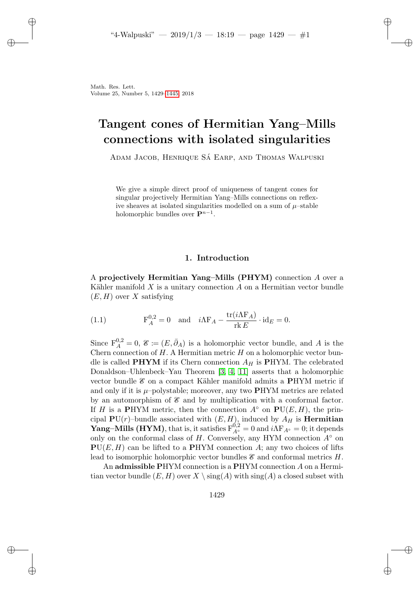# Tangent cones of Hermitian Yang–Mills connections with isolated singularities

ADAM JACOB, HENRIQUE SÁ EARP, AND THOMAS WALPUSKI

We give a simple direct proof of uniqueness of tangent cones for singular projectively Hermitian Yang–Mills connections on reflexive sheaves at isolated singularities modelled on a sum of  $\mu$ –stable holomorphic bundles over  $\mathbf{P}^{n-1}$ .

## 1. Introduction

A projectively Hermitian Yang–Mills  $(PHYM)$  connection A over a Kähler manifold  $X$  is a unitary connection  $A$  on a Hermitian vector bundle  $(E, H)$  over X satisfying

(1.1) 
$$
F_A^{0,2} = 0 \text{ and } i\Lambda F_A - \frac{\text{tr}(i\Lambda F_A)}{\text{rk } E} \cdot \text{id}_E = 0.
$$

Since  $F_A^{0,2} = 0, \mathcal{E} \coloneqq (E, \bar{\partial}_A)$  is a holomorphic vector bundle, and A is the Chern connection of  $H$ . A Hermitian metric  $H$  on a holomorphic vector bundle is called **PHYM** if its Chern connection  $A_H$  is **PHYM**. The celebrated Donaldson–Uhlenbeck–Yau Theorem [\[3,](#page-15-0) [4,](#page-15-1) [11\]](#page-16-1) asserts that a holomorphic vector bundle  $\mathcal E$  on a compact Kähler manifold admits a PHYM metric if and only if it is  $\mu$ –polystable; moreover, any two PHYM metrics are related by an automorphism of  $\mathcal E$  and by multiplication with a conformal factor. If H is a PHYM metric, then the connection  $A^{\circ}$  on  $PU(E, H)$ , the principal  $PU(r)$ –bundle associated with  $(E, H)$ , induced by  $A_H$  is **Hermitian Yang–Mills (HYM)**, that is, it satisfies  $F_{A^{\circ}}^{0,2} = 0$  and  $i\Lambda F_{A^{\circ}} = 0$ ; it depends only on the conformal class of  $H$ . Conversely, any HYM connection  $A^{\circ}$  on  $PU(E, H)$  can be lifted to a PHYM connection A; any two choices of lifts lead to isomorphic holomorphic vector bundles  $\mathscr E$  and conformal metrics  $H$ .

An admissible PHYM connection is a PHYM connection A on a Hermitian vector bundle  $(E, H)$  over  $X \setminus \text{sing}(A)$  with  $\text{sing}(A)$  a closed subset with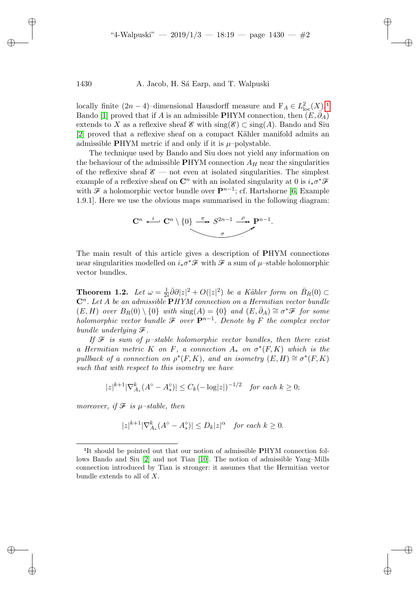locally finite  $(2n - 4)$ –dimensional Hausdorff measure and  $F_A \in L^2_{loc}(X)$ [.](#page-1-0)<sup>1</sup> Bando [\[1\]](#page-15-2) proved that if A is an admissible PHYM connection, then  $(E, \partial_A)$ extends to X as a reflexive sheaf  $\mathscr E$  with  $\operatorname{sing}(\mathscr E) \subset \operatorname{sing}(A)$ . Bando and Siu [\[2\]](#page-15-3) proved that a reflexive sheaf on a compact Kähler manifold admits an admissible PHYM metric if and only if it is  $\mu$ -polystable.

The technique used by Bando and Siu does not yield any information on the behaviour of the admissible  $PHYM$  connection  $A_H$  near the singularities of the reflexive sheaf  $\mathscr{E}$  — not even at isolated singularities. The simplest example of a reflexive sheaf on  $\mathbb{C}^n$  with an isolated singularity at 0 is  $i_*\sigma^*\mathscr{F}$ with  $\mathcal F$  a holomorphic vector bundle over  $\mathbf P^{n-1}$ ; cf. Hartshorne [\[6,](#page-15-4) Example 1.9.1]. Here we use the obvious maps summarised in the following diagram:



The main result of this article gives a description of PHYM connections near singularities modelled on  $i_*\sigma^*\mathcal{F}$  with  $\mathcal F$  a sum of  $\mu$ –stable holomorphic vector bundles.

<span id="page-1-1"></span>**Theorem 1.2.** Let  $\omega = \frac{1}{2}$  $\frac{1}{2i}\overline{\partial}\partial|z|^2 + O(|z|^2)$  be a Kähler form on  $\overline{B}_R(0) \subset$  $\mathbb{C}^n$ . Let A be an admissible  $\mathbf{P}HYM$  connection on a Hermitian vector bundle  $(E, H)$  over  $B_R(0) \setminus \{0\}$  with  $\text{sing}(A) = \{0\}$  and  $(E, \bar{\partial}_A) \cong \sigma^* \mathcal{F}$  for some holomorphic vector bundle  $\mathcal F$  over  $\mathbf P^{n-1}$ . Denote by F the complex vector bundle underlying  $\mathcal{F}.$ 

If  $\mathcal F$  is sum of  $\mu$ -stable holomorphic vector bundles, then there exist a Hermitian metric K on F, a connection  $A_*$  on  $\sigma^*(F,K)$  which is the pullback of a connection on  $\rho^*(F,K)$ , and an isometry  $(E,H) \cong \sigma^*(F,K)$ such that with respect to this isometry we have

$$
|z|^{k+1} |\nabla_{A_*}^k (A^\circ - A_*^\circ)| \le C_k (-\log|z|)^{-1/2} \quad \text{for each } k \ge 0;
$$

moreover, if  $\mathcal F$  is  $\mu$ -stable, then

<span id="page-1-0"></span>|<br>|<br>|

$$
|z|^{k+1} |\nabla_{A_*}^k (A^\circ - A_*^\circ)| \le D_k |z|^\alpha \quad \text{for each } k \ge 0.
$$

It should be pointed out that our notion of admissible PHYM connection follows Bando and Siu [\[2\]](#page-15-3) and not Tian [\[10\]](#page-16-2). The notion of admissible Yang–Mills connection introduced by Tian is stronger: it assumes that the Hermitian vector bundle extends to all of X.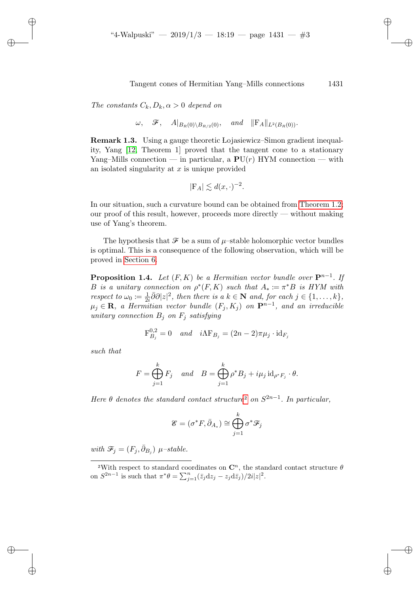The constants  $C_k, D_k, \alpha > 0$  depend on

$$
\omega
$$
,  $\mathcal{F}$ ,  $A|_{B_R(0) \setminus B_{R/2}(0)}$ , and  $||F_A||_{L^2(B_R(0))}$ .

Remark 1.3. Using a gauge theoretic Lojasiewicz–Simon gradient inequality, Yang [\[12,](#page-16-3) Theorem 1] proved that the tangent cone to a stationary Yang–Mills connection — in particular, a  $PU(r)$  HYM connection — with an isolated singularity at  $x$  is unique provided

$$
|\mathcal{F}_A| \lesssim d(x,\cdot)^{-2}.
$$

In our situation, such a curvature bound can be obtained from [Theorem 1.2;](#page-1-1) our proof of this result, however, proceeds more directly — without making use of Yang's theorem.

The hypothesis that  $\mathcal F$  be a sum of  $\mu$ –stable holomorphic vector bundles is optimal. This is a consequence of the following observation, which will be proved in [Section 6.](#page-13-0)

<span id="page-2-1"></span>**Proposition 1.4.** Let  $(F, K)$  be a Hermitian vector bundle over  $\mathbf{P}^{n-1}$ . If B is a unitary connection on  $\rho^*(F,K)$  such that  $A_* \coloneqq \pi^*B$  is HYM with respect to  $\omega_0 \coloneqq \frac{1}{2i}$  $\frac{1}{2i}\overline{\partial}\partial|z|^2$ , then there is a  $k \in \mathbb{N}$  and, for each  $j \in \{1, \ldots, k\}$ ,  $\mu_j \in \mathbf{R}$ , a Hermitian vector bundle  $(F_j, K_j)$  on  $\mathbf{P}^{n-1}$ , and an irreducible unitary connection  $B_j$  on  $F_j$  satisfying

$$
\mathbf{F}_{B_j}^{0,2} = 0 \quad and \quad i\Lambda \mathbf{F}_{B_j} = (2n-2)\pi \mu_j \cdot \mathrm{id}_{F_j}
$$

such that

$$
F = \bigoplus_{j=1}^{k} F_j \quad and \quad B = \bigoplus_{j=1}^{k} \rho^* B_j + i\mu_j \operatorname{id}_{\rho^* F_j} \cdot \theta.
$$

H[e](#page-2-0)re  $\theta$  denotes the standard contact structure<sup>2</sup> on  $S^{2n-1}$ . In particular,

$$
\mathscr{E} = (\sigma^*F, \bar{\partial}_{A_*}) \cong \bigoplus_{j=1}^k \sigma^* \mathscr{F}_j
$$

with  $\mathcal{F}_j = (F_j, \bar{\partial}_{B_j}) \mu$ -stable. <sub>2</sub>

<span id="page-2-0"></span><sup>&</sup>lt;sup>2</sup>With respect to standard coordinates on  $\mathbb{C}^n$ , the standard contact structure  $\theta$ on  $S^{2n-1}$  is such that  $\pi^*\theta = \sum_{j=1}^n (\bar{z}_j \mathrm{d}z_j - z_j \mathrm{d}\bar{z}_j)/2i|z|^2$ .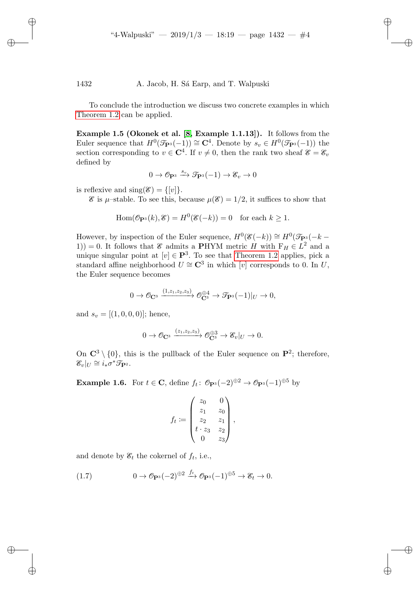To conclude the introduction we discuss two concrete examples in which [Theorem 1.2](#page-1-1) can be applied.

<span id="page-3-0"></span>Example 1.5 (Okonek et al. [\[8,](#page-15-5) Example 1.1.13]). It follows from the Euler sequence that  $H^0(\mathcal{T}_{\mathbf{P}^3}(-1)) \cong \mathbf{C}^4$ . Denote by  $s_v \in H^0(\mathcal{T}_{\mathbf{P}^3}(-1))$  the section corresponding to  $v \in \mathbb{C}^{4}$ . If  $v \neq 0$ , then the rank two sheaf  $\mathscr{E} = \mathscr{E}_v$ defined by

$$
0 \to \mathscr{O}_{\mathbf{P}^3} \xrightarrow{s_v} \mathscr{T}_{\mathbf{P}^3}(-1) \to \mathscr{E}_v \to 0
$$

is reflexive and  $\text{sing}(\mathscr{E}) = \{ [v] \}.$ 

 $\mathscr E$  is  $\mu$ -stable. To see this, because  $\mu(\mathscr E)=1/2$ , it suffices to show that

$$
\operatorname{Hom}(\mathcal{O}_{\mathbf{P}^3}(k), \mathcal{E}) = H^0(\mathcal{E}(-k)) = 0 \quad \text{for each } k \ge 1.
$$

However, by inspection of the Euler sequence,  $H^0(\mathscr{E}(-k)) \cong H^0(\mathscr{T}_{\mathbf{P}^3}(-k-1))$ 1)) = 0. It follows that  $\mathscr E$  admits a PHYM metric H with  $F_H \in L^2$  and a unique singular point at  $[v] \in \mathbf{P}^3$ . To see that [Theorem 1.2](#page-1-1) applies, pick a standard affine neighborhood  $U \cong \mathbb{C}^3$  in which [v] corresponds to 0. In U, the Euler sequence becomes

$$
0 \to \mathcal{O}_{\mathbf{C}^3} \xrightarrow{(1,z_1,z_2,z_3)} \mathcal{O}_{\mathbf{C}^3}^{\oplus 4} \to \mathcal{T}_{\mathbf{P}^3}(-1)|_U \to 0,
$$

and  $s_v = [(1, 0, 0, 0)]$ ; hence,

$$
0 \to \mathcal{O}_{\mathbf{C}^3} \xrightarrow{(z_1, z_2, z_3)} \mathcal{O}_{\mathbf{C}^3}^{\oplus 3} \to \mathcal{E}_v|_U \to 0.
$$

On  $\mathbb{C}^3 \setminus \{0\}$ , this is the pullback of the Euler sequence on  $\mathbb{P}^2$ ; therefore,  $\mathscr{E}_v|_U \cong i_*\sigma^*\mathscr{T}_{\mathbf{P}^2}.$ 

**Example 1.6.** For  $t \in \mathbb{C}$ , define  $f_t: \mathcal{O}_{\mathbf{P}^3}(-2)^{\oplus 2} \to \mathcal{O}_{\mathbf{P}^3}(-1)^{\oplus 5}$  by

$$
f_t := \begin{pmatrix} z_0 & 0 \\ z_1 & z_0 \\ z_2 & z_1 \\ t \cdot z_3 & z_2 \\ 0 & z_3 \end{pmatrix},
$$

and denote by  $\mathscr{E}_t$  the cokernel of  $f_t$ , i.e.,

<span id="page-3-1"></span>(1.7) 
$$
0 \to \mathcal{O}_{\mathbf{P}^3}(-2)^{\oplus 2} \xrightarrow{f_t} \mathcal{O}_{\mathbf{P}^3}(-1)^{\oplus 5} \to \mathcal{E}_t \to 0.
$$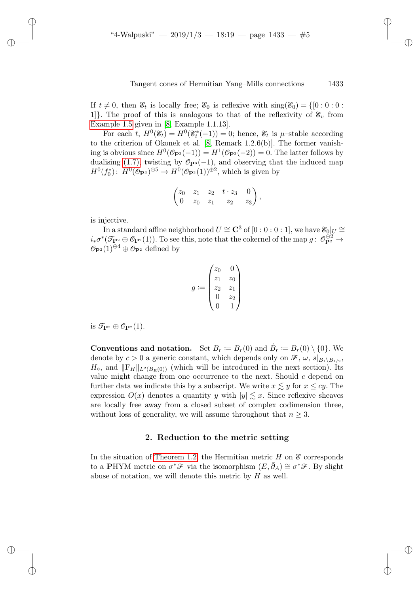If  $t \neq 0$ , then  $\mathscr{E}_t$  is locally free;  $\mathscr{E}_0$  is reflexive with  $\text{sing}(\mathscr{E}_0) = \{ [0 : 0 : 0 :$ 1]. The proof of this is analogous to that of the reflexivity of  $\mathscr{E}_v$  from [Example 1.5](#page-3-0) given in [\[8,](#page-15-5) Example 1.1.13].

For each  $t$ ,  $H^0(\mathscr{E}_t) = H^0(\mathscr{E}_t^*(-1)) = 0$ ; hence,  $\mathscr{E}_t$  is  $\mu$ -stable according to the criterion of Okonek et al. [\[8,](#page-15-5) Remark 1.2.6(b)]. The former vanishing is obvious since  $H^0(\mathcal{O}_{\mathbf{P}^3}(-1)) = H^1(\mathcal{O}_{\mathbf{P}^3}(-2)) = 0$ . The latter follows by dualising [\(1.7\),](#page-3-1) twisting by  $\mathcal{O}_{\mathbf{P}^3}(-1)$ , and observing that the induced map  $H^0(f_0^*)\colon H^0(\mathcal{O}_{\mathbf{P}^3})^{\oplus 5} \to H^0(\mathcal{O}_{\mathbf{P}^3}(1))^{\oplus 2}$ , which is given by

$$
\begin{pmatrix} z_0 & z_1 & z_2 & t \cdot z_3 & 0 \ 0 & z_0 & z_1 & z_2 & z_3 \end{pmatrix},
$$

is injective.

In a standard affine neighborhood  $U \cong {\bf C}^3$  of  $[0:0:0:1],$  we have  $\mathscr{E}_0|_U \cong \emptyset$  $i_*\sigma^*(\mathcal{T}_{\mathbf{P}^2}\oplus \mathcal{O}_{\mathbf{P}^2}(1)).$  To see this, note that the cokernel of the map  $g\colon\mathcal{O}_{\mathbf{P}^2}^{\oplus 2}\to$  $\mathcal{O}_{\mathbf{P}^2}(1)^{\oplus 4} \oplus \mathcal{O}_{\mathbf{P}^2}$  defined by

$$
g := \begin{pmatrix} z_0 & 0 \\ z_1 & z_0 \\ z_2 & z_1 \\ 0 & z_2 \\ 0 & 1 \end{pmatrix}
$$

is  $\mathcal{T}_{\mathbf{P}^2} \oplus \mathcal{O}_{\mathbf{P}^2}(1)$ .

**Conventions and notation.** Set  $B_r := B_r(0)$  and  $\dot{B}_r := B_r(0) \setminus \{0\}$ . We denote by  $c > 0$  a generic constant, which depends only on  $\mathscr{F}, \omega, s|_{B_1 \setminus B_1/2}$ ,  $H_{\infty}$ , and  $\|\mathbf{F}_{H}\|_{L^{2}(B_{R}(0))}$  (which will be introduced in the next section). Its value might change from one occurrence to the next. Should  $c$  depend on further data we indicate this by a subscript. We write  $x \lesssim y$  for  $x \le cy$ . The expression  $O(x)$  denotes a quantity y with  $|y| \lesssim x$ . Since reflexive sheaves are locally free away from a closed subset of complex codimension three, without loss of generality, we will assume throughout that  $n \geq 3$ .

#### 2. Reduction to the metric setting

In the situation of [Theorem 1.2,](#page-1-1) the Hermitian metric  $H$  on  $\mathscr E$  corresponds to a PHYM metric on  $\sigma^* \mathscr{F}$  via the isomorphism  $(E, \bar{\partial}_A) \cong \sigma^* \mathscr{F}$ . By slight abuse of notation, we will denote this metric by  $H$  as well.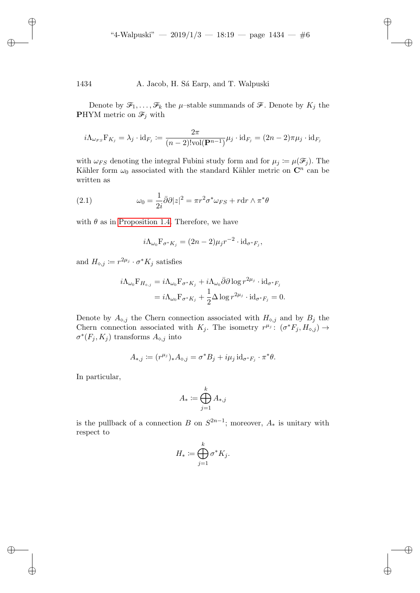Denote by  $\mathcal{F}_1, \ldots, \mathcal{F}_k$  the  $\mu$ -stable summands of  $\mathcal{F}$ . Denote by  $K_j$  the **PHYM** metric on  $\mathcal{F}_j$  with

$$
i\Lambda_{\omega_{FS}}\mathcal{F}_{K_j}=\lambda_j\cdot\text{id}_{F_j}\coloneqq\frac{2\pi}{(n-2)!\text{vol}(\mathbf{P}^{n-1})}\mu_j\cdot\text{id}_{F_j}=(2n-2)\pi\mu_j\cdot\text{id}_{F_j}
$$

with  $\omega_{FS}$  denoting the integral Fubini study form and for  $\mu_j := \mu(\mathcal{F}_j)$ . The Kähler form  $\omega_0$  associated with the standard Kähler metric on  $\mathbb{C}^n$  can be written as

(2.1) 
$$
\omega_0 = \frac{1}{2i} \bar{\partial} \partial |z|^2 = \pi r^2 \sigma^* \omega_{FS} + r \mathrm{d} r \wedge \pi^* \theta
$$

with  $\theta$  as in [Proposition 1.4.](#page-2-1) Therefore, we have

<span id="page-5-0"></span>
$$
i\Lambda_{\omega_0} \mathbf{F}_{\sigma^* K_j} = (2n-2)\mu_j r^{-2} \cdot \mathrm{id}_{\sigma^* F_j},
$$

and  $H_{\diamond,j} \coloneqq r^{2\mu_j} \cdot \sigma^* K_j$  satisfies

$$
i\Lambda_{\omega_0} F_{H_{\diamond,j}} = i\Lambda_{\omega_0} F_{\sigma^* K_j} + i\Lambda_{\omega_0} \bar{\partial} \partial \log r^{2\mu_j} \cdot id_{\sigma^* F_j}
$$
  
=  $i\Lambda_{\omega_0} F_{\sigma^* K_j} + \frac{1}{2} \Delta \log r^{2\mu_j} \cdot id_{\sigma^* F_j} = 0.$ 

Denote by  $A_{\diamond,j}$  the Chern connection associated with  $H_{\diamond,j}$  and by  $B_j$  the Chern connection associated with  $K_j$ . The isometry  $r^{\mu_j}$ :  $(\sigma^* F_j, H_{\diamond,j}) \to$  $\sigma^*(F_j, K_j)$  transforms  $A_{\diamond, j}$  into

$$
A_{*,j} \coloneqq (r^{\mu_j})_* A_{\diamond,j} = \sigma^* B_j + i\mu_j \operatorname{id}_{\sigma^* F_j} \cdot \pi^* \theta.
$$

In particular,

$$
A_* \coloneqq \bigoplus_{j=1}^k A_{*,j}
$$

is the pullback of a connection B on  $S^{2n-1}$ ; moreover,  $A_*$  is unitary with respect to

$$
H_* \coloneqq \bigoplus_{j=1}^k \sigma^* K_j.
$$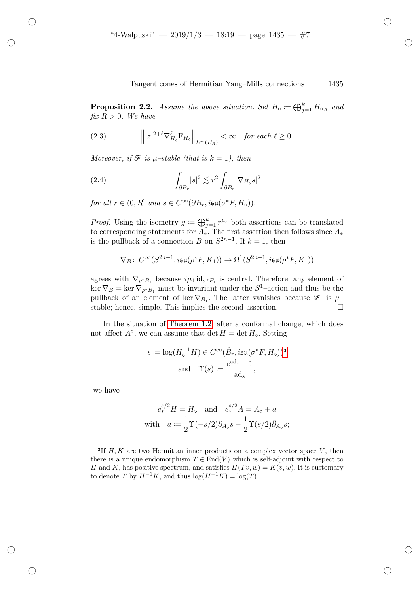<span id="page-6-1"></span>**Proposition 2.2.** Assume the above situation. Set  $H_{\diamond} := \bigoplus_{j=1}^{k} H_{\diamond,j}$  and fix  $R > 0$ . We have

<span id="page-6-2"></span>(2.3) 
$$
\left\| |z|^{2+\ell} \nabla_{H_{\diamond}}^{\ell} F_{H_{\diamond}} \right\|_{L^{\infty}(B_R)} < \infty \quad \text{for each } \ell \geq 0.
$$

Moreover, if  $\mathcal F$  is  $\mu$ -stable (that is  $k = 1$ ), then

<span id="page-6-3"></span>(2.4) 
$$
\int_{\partial B_r} |s|^2 \lesssim r^2 \int_{\partial B_r} |\nabla_{H_\circ} s|^2
$$

for all  $r \in (0, R]$  and  $s \in C^{\infty}(\partial B_r, i\mathfrak{su}(\sigma^*F, H_{\infty}))$ .

*Proof.* Using the isometry  $g := \bigoplus_{j=1}^k r^{\mu_j}$  both assertions can be translated to corresponding statements for  $A_{*}$ . The first assertion then follows since  $A_{*}$ is the pullback of a connection B on  $S^{2n-1}$ . If  $k = 1$ , then

$$
\nabla_B\colon C^\infty(S^{2n-1},i\mathfrak{su}(\rho^*F,K_1))\to \Omega^1(S^{2n-1},i\mathfrak{su}(\rho^*F,K_1))
$$

agrees with  $\nabla_{\rho^*B_1}$  because  $i\mu_1 \text{id}_{\sigma^*F_1}$  is central. Therefore, any element of  $\ker \nabla_B = \ker \nabla_{\rho^*B_1}$  must be invariant under the  $S^1$ -action and thus be the pullback of an element of ker  $\nabla_{B_1}$ . The latter vanishes because  $\mathcal{F}_1$  is  $\mu$ stable; hence, simple. This implies the second assertion.

In the situation of [Theorem 1.2,](#page-1-1) after a conformal change, which does not affect  $A^{\circ}$ , we can assume that det  $H = \det H_{\circ}$ . Setting

$$
s := \log(H_{\diamond}^{-1}H) \in C^{\infty}(\dot{B}_r, i\mathfrak{su}(\sigma^*F, H_{\diamond}))^3
$$
  
and  $\Upsilon(s) := \frac{e^{ad_s} - 1}{ad_s},$ 

we have

<span id="page-6-0"></span><sup>2</sup>

$$
e_*^{s/2}H = H_\diamond \quad \text{and} \quad e_*^{s/2}A = A_\diamond + a
$$
  
with 
$$
a := \frac{1}{2}\Upsilon(-s/2)\partial_{A_\diamond} s - \frac{1}{2}\Upsilon(s/2)\overline{\partial}_{A_\diamond} s;
$$

<sup>&</sup>lt;sup>3</sup>If  $H, K$  are two Hermitian inner products on a complex vector space  $V$ , then there is a unique endomorphism  $T \in End(V)$  which is self-adjoint with respect to H and K, has positive spectrum, and satisfies  $H(Tv, w) = K(v, w)$ . It is customary to denote T by  $H^{-1}K$ , and thus  $\log(H^{-1}K) = \log(T)$ .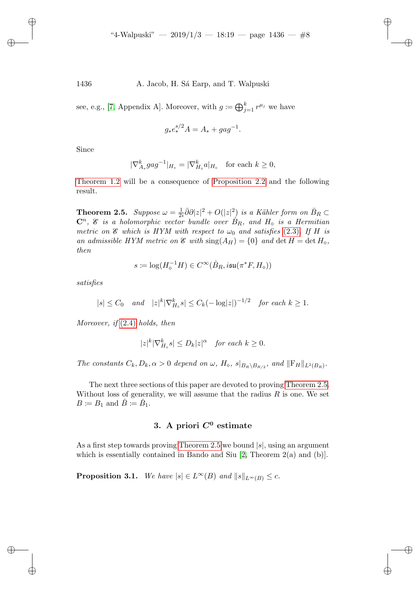see, e.g., [\[7,](#page-15-6) Appendix A]. Moreover, with  $g \coloneqq \bigoplus_{j=1}^k r^{\mu_j}$  we have

$$
g_* e_*^{s/2} A = A_* + gag^{-1}.
$$

Since

$$
|\nabla_{A_*}^k gag^{-1}|_{H_*} = |\nabla_{H_\diamond}^k a|_{H_\diamond} \quad \text{for each } k \ge 0,
$$

[Theorem 1.2](#page-1-1) will be a consequence of [Proposition 2.2](#page-6-1) and the following result.

<span id="page-7-0"></span>**Theorem 2.5.** Suppose  $\omega = \frac{1}{2}$  $\frac{1}{2i}\overline{\partial}\partial|z|^2 + O(|z|^2)$  is a Kähler form on  $\overline{B}_R \subset$  $\mathbb{C}^n$ ,  $\mathscr{E}$  is a holomorphic vector bundle over  $\dot{B}_R$ , and  $H_{\diamond}$  is a Hermitian metric on  $\mathscr E$  which is HYM with respect to  $\omega_0$  and satisfies [\(2.3\)](#page-6-2). If H is an admissible HYM metric on  $\mathcal E$  with  $\text{sing}(A_H) = \{0\}$  and  $\det H = \det H_\diamond$ , then

$$
s \coloneqq \log(H_\diamond^{-1} H) \in C^\infty(\dot B_R, i \mathfrak{su}(\pi^* F, H_\diamond))
$$

satisfies

$$
|s| \leq C_0
$$
 and  $|z|^k |\nabla_{H_0}^k s| \leq C_k (-\log|z|)^{-1/2}$  for each  $k \geq 1$ .

Moreover, if [\(2.4\)](#page-6-3) holds, then

$$
|z|^k |\nabla_{H_\diamond}^k s| \le D_k |z|^\alpha \quad \text{for each } k \ge 0.
$$

The constants  $C_k, D_k, \alpha > 0$  depend on  $\omega, H_{\diamond}$ ,  $s|_{B_R \setminus B_{R/2}}$ , and  $||F_H||_{L^2(B_R)}$ .

The next three sections of this paper are devoted to proving [Theorem 2.5.](#page-7-0) Without loss of generality, we will assume that the radius  $R$  is one. We set  $B \coloneqq B_1$  and  $\dot{B} \coloneqq \dot{B}_1$ .

# 3. A priori  $C^0$  estimate

As a first step towards proving [Theorem 2.5](#page-7-0) we bound  $|s|$ , using an argument which is essentially contained in Bando and Siu [\[2,](#page-15-3) Theorem 2(a) and (b)].

<span id="page-7-1"></span>**Proposition 3.1.** We have  $|s| \in L^{\infty}(B)$  and  $||s||_{L^{\infty}(B)} \leq c$ .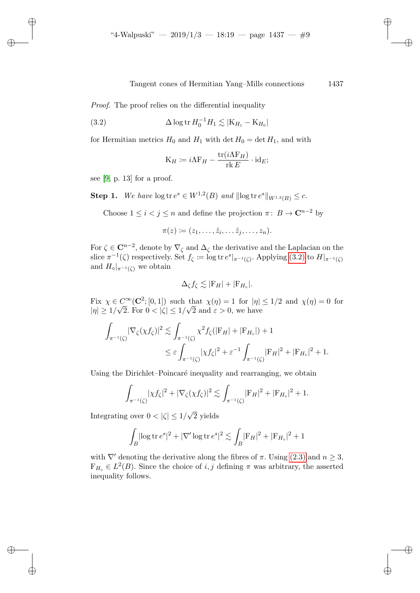Proof. The proof relies on the differential inequality

(3.2) 
$$
\Delta \log \text{tr } H_0^{-1} H_1 \lesssim |\mathbf{K}_{H_1} - \mathbf{K}_{H_0}|
$$

for Hermitian metrics  $H_0$  and  $H_1$  with det  $H_0 = \det H_1$ , and with

<span id="page-8-0"></span>
$$
K_H \coloneqq i\Lambda F_H - \frac{\text{tr}(i\Lambda F_H)}{\text{rk } E} \cdot \text{id}_E;
$$

see  $[9, p. 13]$  $[9, p. 13]$  for a proof.

<span id="page-8-1"></span>**Step 1.** We have  $\log \text{tr } e^s \in W^{1,2}(B)$  and  $\|\log \text{tr } e^s\|_{W^{1,2}(B)} \leq c$ .

Choose  $1 \leq i < j \leq n$  and define the projection  $\pi: B \to \mathbb{C}^{n-2}$  by

$$
\pi(z)\coloneqq (z_1,\ldots,\hat{z}_i,\ldots\hat{z}_j,\ldots,z_n).
$$

For  $\zeta \in \mathbb{C}^{n-2}$ , denote by  $\nabla_{\zeta}$  and  $\Delta_{\zeta}$  the derivative and the Laplacian on the slice  $\pi^{-1}(\zeta)$  respectively. Set  $f_{\zeta} := \log \text{tr } e^s|_{\pi^{-1}(\zeta)}$ . Applying [\(3.2\)](#page-8-0) to  $H|_{\pi^{-1}(\zeta)}$ and  $H_{\diamond}|_{\pi^{-1}(\zeta)}$  we obtain

$$
\Delta_{\zeta} f_{\zeta} \lesssim |\mathcal{F}_H| + |\mathcal{F}_{H_{\circ}}|.
$$

Fix  $\chi \in C^{\infty}(\mathbb{C}^2; [0,1])$  such that  $\chi(\eta) = 1$  for  $|\eta| \leq 1/2$  and  $\chi(\eta) = 0$  for  $|\eta| \geq 1/\sqrt{2}$ . For  $0 < |\zeta| \leq 1/\sqrt{2}$  and  $\varepsilon > 0$ , we have

$$
\int_{\pi^{-1}(\zeta)} |\nabla_{\zeta} (\chi f_{\zeta})|^2 \lesssim \int_{\pi^{-1}(\zeta)} \chi^2 f_{\zeta} (|\mathbf{F}_H| + |\mathbf{F}_{H_{\circ}}|) + 1
$$
  
\n
$$
\leq \varepsilon \int_{\pi^{-1}(\zeta)} |\chi f_{\zeta}|^2 + \varepsilon^{-1} \int_{\pi^{-1}(\zeta)} |\mathbf{F}_H|^2 + |\mathbf{F}_{H_{\circ}}|^2 + 1.
$$

Using the Dirichlet–Poincaré inequality and rearranging, we obtain

$$
\int_{\pi^{-1}(\zeta)} |\chi f_{\zeta}|^2 + |\nabla_{\zeta}(\chi f_{\zeta})|^2 \lesssim \int_{\pi^{-1}(\zeta)} |F_H|^2 + |F_{H_{\circ}}|^2 + 1.
$$

Integrating over  $0 < |\zeta| \leq 1/$ 2 yields

$$
\int_{B} |\log \operatorname{tr} e^s|^2 + |\nabla' \log \operatorname{tr} e^s|^2 \lesssim \int_{B} |\mathbf{F}_H|^2 + |\mathbf{F}_{H_{\circ}}|^2 + 1
$$

with  $\nabla'$  denoting the derivative along the fibres of  $\pi$ . Using [\(2.3\)](#page-6-2) and  $n \geq 3$ ,  $F_{H_{\circ}} \in L^2(B)$ . Since the choice of i, j defining  $\pi$  was arbitrary, the asserted inequality follows.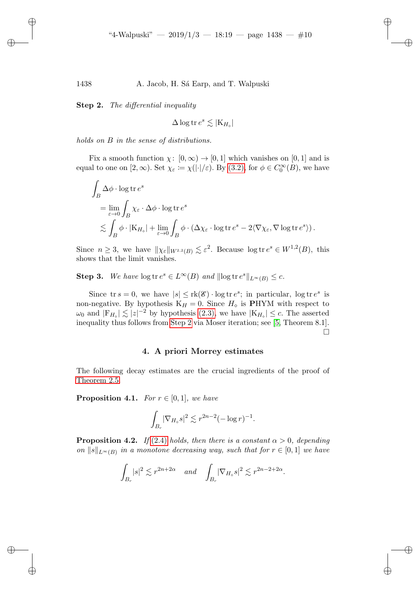<span id="page-9-0"></span>Step 2. The differential inequality

$$
\Delta \log \operatorname{tr} e^s \lesssim |K_{H_o}|
$$

holds on B in the sense of distributions.

Fix a smooth function  $\chi: [0, \infty) \to [0, 1]$  which vanishes on [0, 1] and is equal to one on  $[2,\infty)$ . Set  $\chi_{\varepsilon} := \chi(|\cdot|/\varepsilon)$ . By  $(3.2)$ , for  $\phi \in C_0^{\infty}(B)$ , we have

$$
\int_{B} \Delta \phi \cdot \log \text{tr } e^{s}
$$
\n
$$
= \lim_{\varepsilon \to 0} \int_{B} \chi_{\varepsilon} \cdot \Delta \phi \cdot \log \text{tr } e^{s}
$$
\n
$$
\lesssim \int_{B} \phi \cdot |\mathbf{K}_{H_{\circ}}| + \lim_{\varepsilon \to 0} \int_{B} \phi \cdot (\Delta \chi_{\varepsilon} \cdot \log \text{tr } e^{s} - 2 \langle \nabla \chi_{\varepsilon}, \nabla \log \text{tr } e^{s} \rangle).
$$

Since  $n \geq 3$ , we have  $\|\chi_{\varepsilon}\|_{W^{2,2}(B)} \lesssim \varepsilon^2$ . Because  $\log \text{tr } e^s \in W^{1,2}(B)$ , this shows that the limit vanishes.

**Step 3.** We have  $\log tr e^s \in L^{\infty}(B)$  and  $\|\log tr e^s\|_{L^{\infty}(B)} \leq c$ .

Since  $\text{tr } s = 0$ , we have  $|s| \leq \text{rk}(\mathscr{E}) \cdot \log \text{tr } e^s$ ; in particular,  $\log \text{tr } e^s$  is non-negative. By hypothesis  $K_H = 0$ . Since  $H_{\diamond}$  is PHYM with respect to  $\omega_0$  and  $|F_{H_o}| \lesssim |z|^{-2}$  by hypothesis [\(2.3\),](#page-6-2) we have  $|K_{H_o}| \leq c$ . The asserted inequality thus follows from [Step 2](#page-9-0) via Moser iteration; see [\[5,](#page-15-7) Theorem 8.1].  $\Box$ 

#### 4. A priori Morrey estimates

The following decay estimates are the crucial ingredients of the proof of [Theorem 2.5.](#page-7-0)

<span id="page-9-2"></span>**Proposition 4.1.** For  $r \in [0,1]$ , we have

$$
\int_{B_r} |\nabla_{H_\diamond} s|^2 \lesssim r^{2n-2} (-\log r)^{-1}.
$$

<span id="page-9-1"></span>**Proposition 4.2.** If [\(2.4\)](#page-6-3) holds, then there is a constant  $\alpha > 0$ , depending on  $||s||_{L^{\infty}(B)}$  in a monotone decreasing way, such that for  $r \in [0,1]$  we have

$$
\int_{B_r} |s|^2 \lesssim r^{2n+2\alpha} \quad \text{and} \quad \int_{B_r} |\nabla_{H_\diamond} s|^2 \lesssim r^{2n-2+2\alpha}.
$$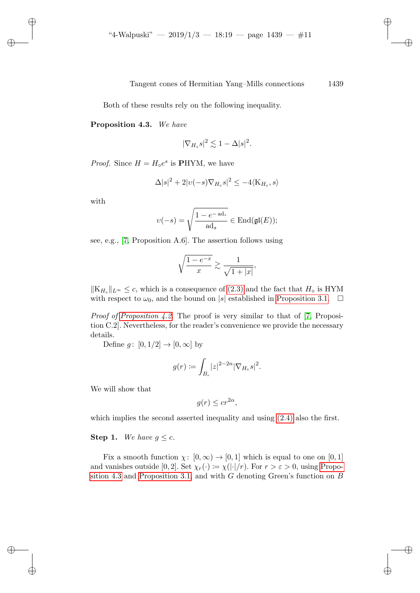Both of these results rely on the following inequality.

#### <span id="page-10-0"></span>Proposition 4.3. We have

$$
|\nabla_{H_{\diamond}}s|^2 \lesssim 1 - \Delta|s|^2.
$$

*Proof.* Since  $H = H_{\phi}e^{s}$  is **PHYM**, we have

$$
\Delta|s|^2 + 2|v(-s)\nabla_{H_\diamond} s|^2 \le -4\langle K_{H_\diamond}, s \rangle
$$

with

$$
\upsilon(-s) = \sqrt{\frac{1 - e^{-\operatorname{ad}_s}}{\operatorname{ad}_s}} \in \operatorname{End}(\mathfrak{gl}(E));
$$

see, e.g., [\[7,](#page-15-6) Proposition A.6]. The assertion follows using

$$
\sqrt{\frac{1-e^{-x}}{x}} \gtrsim \frac{1}{\sqrt{1+|x|}},
$$

 $\|K_{H_{\diamond}}\|_{L^{\infty}} \leq c$ , which is a consequence of [\(2.3\)](#page-6-2) and the fact that  $H_{\diamond}$  is HYM with respect to  $\omega_0$ , and the bound on |s| established in [Proposition 3.1.](#page-7-1)  $\Box$ 

*Proof of [Proposition 4.2.](#page-9-1)* The proof is very similar to that of [\[7,](#page-15-6) Proposition C.2]. Nevertheless, for the reader's convenience we provide the necessary details.

Define  $g: [0, 1/2] \to [0, \infty]$  by

$$
g(r) \coloneqq \int_{B_r} |z|^{2-2n} |\nabla_{H_\diamond} s|^2.
$$

We will show that

$$
g(r) \leq c r^{2\alpha},
$$

which implies the second asserted inequality and using  $(2.4)$  also the first.

#### **Step 1.** We have  $q \leq c$ .

Fix a smooth function  $\chi: [0, \infty) \to [0, 1]$  which is equal to one on  $[0, 1]$ and vanishes outside [0, 2]. Set  $\chi_r(\cdot) := \chi(|\cdot|/r)$ . For  $r > \varepsilon > 0$ , using [Propo](#page-10-0)[sition 4.3](#page-10-0) and [Proposition 3.1,](#page-7-1) and with  $G$  denoting Green's function on  $B$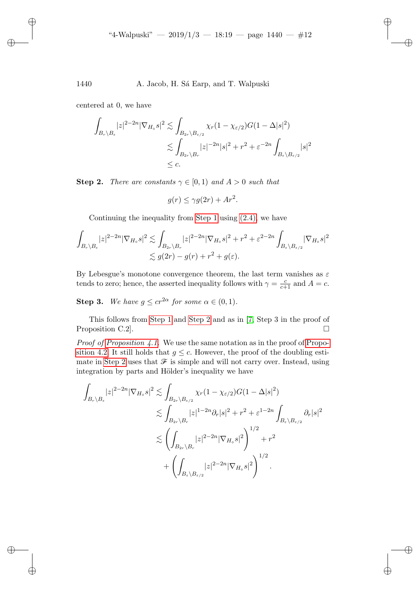centered at 0, we have

$$
\int_{B_r \backslash B_{\varepsilon}} |z|^{2-2n} |\nabla_{H_{\varepsilon}} s|^2 \lesssim \int_{B_{2r} \backslash B_{\varepsilon/2}} \chi_r(1 - \chi_{\varepsilon/2}) G(1 - \Delta |s|^2)
$$
  

$$
\lesssim \int_{B_{2r} \backslash B_r} |z|^{-2n} |s|^2 + r^2 + \varepsilon^{-2n} \int_{B_{\varepsilon} \backslash B_{\varepsilon/2}} |s|^2
$$
  

$$
\leq c.
$$

**Step 2.** There are constants  $\gamma \in [0,1)$  and  $A > 0$  such that

$$
g(r) \le \gamma g(2r) + Ar^2.
$$

Continuing the inequality from [Step 1](#page-8-1) using [\(2.4\),](#page-6-3) we have

$$
\int_{B_r \backslash B_{\varepsilon}} |z|^{2-2n} |\nabla_{H_{\circ}} s|^2 \lesssim \int_{B_{2r} \backslash B_r} |z|^{2-2n} |\nabla_{H_{\circ}} s|^2 + r^2 + \varepsilon^{2-2n} \int_{B_{\varepsilon} \backslash B_{\varepsilon/2}} |\nabla_{H_{\circ}} s|^2
$$
  

$$
\lesssim g(2r) - g(r) + r^2 + g(\varepsilon).
$$

By Lebesgue's monotone convergence theorem, the last term vanishes as  $\varepsilon$ tends to zero; hence, the asserted inequality follows with  $\gamma = \frac{c}{c+1}$  and  $A = c$ .

**Step 3.** We have  $g \leq cr^{2\alpha}$  for some  $\alpha \in (0,1)$ .

This follows from [Step 1](#page-8-1) and [Step 2](#page-9-0) and as in [\[7,](#page-15-6) Step 3 in the proof of Proposition C.2.

*Proof of [Proposition 4.1.](#page-9-2)* We use the same notation as in the proof of [Propo](#page-9-1)[sition 4.2.](#page-9-1) It still holds that  $q \leq c$ . However, the proof of the doubling esti-mate in [Step 2](#page-9-0) uses that  $\mathcal F$  is simple and will not carry over. Instead, using integration by parts and Hölder's inequality we have

$$
\int_{B_r \backslash B_{\varepsilon}} |z|^{2-2n} |\nabla_{H_{\diamond}} s|^2 \lesssim \int_{B_{2r} \backslash B_{\varepsilon/2}} \chi_r (1 - \chi_{\varepsilon/2}) G(1 - \Delta |s|^2)
$$
  

$$
\lesssim \int_{B_{2r} \backslash B_r} |z|^{1-2n} \partial_r |s|^2 + r^2 + \varepsilon^{1-2n} \int_{B_{\varepsilon} \backslash B_{\varepsilon/2}} \partial_r |s|^2
$$
  

$$
\lesssim \left( \int_{B_{2r} \backslash B_r} |z|^{2-2n} |\nabla_{H_{\diamond}} s|^2 \right)^{1/2} + r^2
$$
  

$$
+ \left( \int_{B_{\varepsilon} \backslash B_{\varepsilon/2}} |z|^{2-2n} |\nabla_{H_{\diamond}} s|^2 \right)^{1/2}.
$$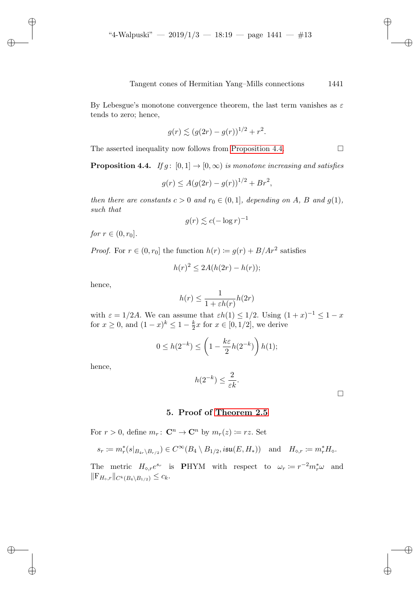By Lebesgue's monotone convergence theorem, the last term vanishes as  $\varepsilon$ tends to zero; hence,

$$
g(r) \lesssim (g(2r) - g(r))^{1/2} + r^2.
$$

The asserted inequality now follows from [Proposition 4.4.](#page-12-0)

<span id="page-12-0"></span>**Proposition 4.4.** If  $g: [0, 1] \rightarrow [0, \infty)$  is monotone increasing and satisfies

$$
g(r) \le A(g(2r) - g(r))^{1/2} + Br^2,
$$

then there are constants  $c > 0$  and  $r_0 \in (0, 1]$ , depending on A, B and  $g(1)$ , such that

$$
g(r) \lesssim c(-\log r)^{-1}
$$

*for*  $r \in (0, r_0]$ .

*Proof.* For  $r \in (0, r_0]$  the function  $h(r) := g(r) + B/Ar^2$  satisfies

$$
h(r)^2 \le 2A(h(2r) - h(r));
$$

hence,

$$
h(r) \le \frac{1}{1 + \varepsilon h(r)} h(2r)
$$

with  $\varepsilon = 1/2A$ . We can assume that  $\varepsilon h(1) \leq 1/2$ . Using  $(1+x)^{-1} \leq 1-x$ for  $x \ge 0$ , and  $(1-x)^k \le 1-\frac{k}{2}$  $\frac{k}{2}x$  for  $x \in [0, 1/2]$ , we derive

$$
0 \le h(2^{-k}) \le \left(1 - \frac{k\varepsilon}{2}h(2^{-k})\right)h(1);
$$

hence,

$$
h(2^{-k}) \le \frac{2}{\varepsilon k}.
$$

 $\Box$ 

### 5. Proof of [Theorem 2.5](#page-7-0)

For  $r > 0$ , define  $m_r: \mathbb{C}^n \to \mathbb{C}^n$  by  $m_r(z) \coloneqq rz$ . Set

$$
s_r \coloneqq m_r^*(s|_{B_{4r}\setminus B_{r/2}}) \in C^\infty(B_4 \setminus B_{1/2}, i\mathfrak{su}(E, H_*)) \quad \text{and} \quad H_{\diamond,r} \coloneqq m_r^* H_\diamond.
$$

The metric  $H_{\diamond,r}e^{s_r}$  is **PHYM** with respect to  $\omega_r := r^{-2}m_r^*\omega$  and  $||F_{H_{\circ},r}||_{C^{k}(B_{4}\setminus B_{1/2})} \leq c_{k}.$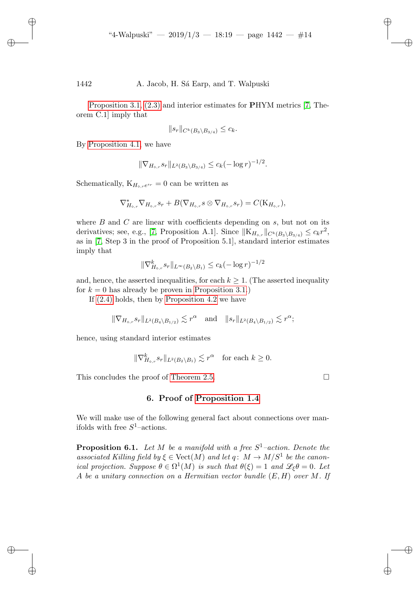[Proposition 3.1,](#page-7-1) [\(2.3\)](#page-6-2) and interior estimates for PHYM metrics [\[7,](#page-15-6) Theorem C.1] imply that

$$
||s_r||_{C^k(B_3 \setminus B_{3/4})} \leq c_k.
$$

By [Proposition 4.1,](#page-9-2) we have

$$
\|\nabla_{H_{\diamond,r}} s_r\|_{L^2(B_3 \setminus B_{3/4})} \leq c_k (-\log r)^{-1/2}.
$$

Schematically,  $K_{H_{\diamond},r}e^{sr}=0$  can be written as

$$
\nabla_{H_{\diamond,r}}^* \nabla_{H_{\diamond,r}} s_r + B(\nabla_{H_{\diamond,r}} s \otimes \nabla_{H_{\diamond,r}} s_r) = C(K_{H_{\diamond,r}}),
$$

where  $B$  and  $C$  are linear with coefficients depending on  $s$ , but not on its derivatives; see, e.g., [\[7,](#page-15-6) Proposition A.1]. Since  $||K_{H_{\diamond,r}}||_{C^{k}(B_3\setminus B_{3/4})} \leq c_k r^2$ , as in [\[7,](#page-15-6) Step 3 in the proof of Proposition 5.1], standard interior estimates imply that

$$
\|\nabla_{H_{\diamond,r}}^k s_r\|_{L^\infty(B_2\setminus B_1)} \le c_k (-\log r)^{-1/2}
$$

and, hence, the asserted inequalities, for each  $k \geq 1$ . (The asserted inequality for  $k = 0$  has already be proven in [Proposition 3.1.](#page-7-1))

If [\(2.4\)](#page-6-3) holds, then by [Proposition 4.2](#page-9-1) we have

$$
\|\nabla_{H_{\diamond},r} s_r\|_{L^2(B_4 \setminus B_{1/2})} \lesssim r^{\alpha} \quad \text{and} \quad \|s_r\|_{L^2(B_4 \setminus B_{1/2})} \lesssim r^{\alpha};
$$

hence, using standard interior estimates

$$
\|\nabla_{H_{\diamond,r}}^k s_r\|_{L^2(B_2\setminus B_1)} \lesssim r^{\alpha} \quad \text{for each } k \ge 0.
$$

<span id="page-13-0"></span>This concludes the proof of [Theorem 2.5.](#page-7-0)

6. Proof of [Proposition 1.4](#page-2-1)

We will make use of the following general fact about connections over manifolds with free  $S^1$ -actions.

**Proposition 6.1.** Let M be a manifold with a free  $S^1$ -action. Denote the associated Killing field by  $\xi \in \text{Vect}(M)$  and let  $q: M \to M/S^1$  be the canonical projection. Suppose  $\theta \in \Omega^1(M)$  is such that  $\theta(\xi) = 1$  and  $\mathscr{L}_{\xi} \theta = 0$ . Let A be a unitary connection on a Hermitian vector bundle  $(E, H)$  over M. If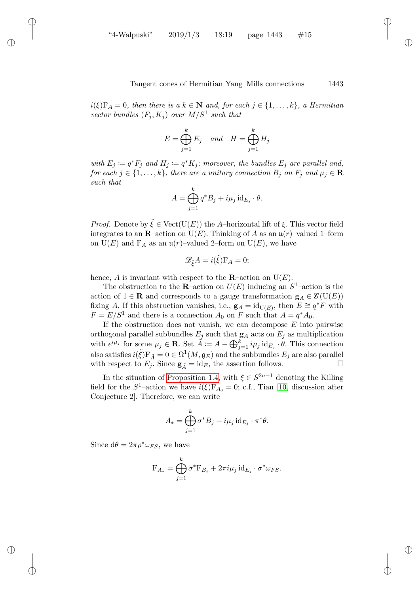$i(\xi)F_A = 0$ , then there is a  $k \in \mathbb{N}$  and, for each  $j \in \{1, ..., k\}$ , a Hermitian vector bundles  $(F_j, K_j)$  over  $M/S^1$  such that

$$
E = \bigoplus_{j=1}^{k} E_j \quad and \quad H = \bigoplus_{j=1}^{k} H_j
$$

with  $E_j := q^* F_j$  and  $H_j := q^* K_j$ ; moreover, the bundles  $E_j$  are parallel and, for each  $j \in \{1, ..., k\}$ , there are a unitary connection  $B_j$  on  $F_j$  and  $\mu_j \in \mathbf{R}$ such that

$$
A = \bigoplus_{j=1}^{k} q^* B_j + i \mu_j \operatorname{id}_{E_j} \cdot \theta.
$$

*Proof.* Denote by  $\tilde{\xi} \in \text{Vect}(\mathbf{U}(E))$  the A–horizontal lift of  $\xi$ . This vector field integrates to an **R**–action on  $U(E)$ . Thinking of A as an  $\mathfrak{u}(r)$ –valued 1–form on  $U(E)$  and  $F_A$  as an  $\mathfrak{u}(r)$ -valued 2-form on  $U(E)$ , we have

$$
\mathscr{L}_{\tilde{\xi}}A = i(\tilde{\xi})\mathbf{F}_A = 0;
$$

hence, A is invariant with respect to the **R**–action on  $U(E)$ .

The obstruction to the **R**-action on  $U(E)$  inducing an  $S^1$ -action is the action of  $1 \in \mathbf{R}$  and corresponds to a gauge transformation  $\mathbf{g}_A \in \mathcal{G}(\mathbf{U}(E))$ fixing A. If this obstruction vanishes, i.e.,  $\mathbf{g}_A = id_{\mathrm{U}(E)}$ , then  $E \cong q^*F$  with  $F = E/S<sup>1</sup>$  and there is a connection  $A_0$  on F such that  $A = q^*A_0$ .

If the obstruction does not vanish, we can decompose  $E$  into pairwise orthogonal parallel subbundles  $E_j$  such that  $\mathbf{g}_A$  acts on  $E_j$  as multiplication with  $e^{i\mu_j}$  for some  $\mu_j \in \mathbf{R}$ . Set  $\tilde{A} := A - \bigoplus_{j=1}^k i\mu_j \operatorname{id}_{E_j} \cdot \theta$ . This connection also satisfies  $i(\tilde{\xi})F_{\tilde{A}} = 0 \in \Omega^1(M, \mathfrak{g}_{E})$  and the subbundles  $E_j$  are also parallel with respect to  $E_j$ . Since  $\mathbf{g}_{\tilde{A}} = id_E$ , the assertion follows.

In the situation of [Proposition 1.4,](#page-2-1) with  $\xi \in S^{2n-1}$  denoting the Killing field for the  $S^1$ -action we have  $i(\xi)F_{A_0}=0$ ; c.f., Tian [\[10,](#page-16-2) discussion after Conjecture 2]. Therefore, we can write

$$
A_*=\bigoplus_{j=1}^k \sigma^*B_j+i\mu_j\operatorname{id}_{E_j}\cdot\pi^*\theta.
$$

Since  $d\theta = 2\pi \rho^* \omega_{FS}$ , we have

$$
\mathbf{F}_{A_*} = \bigoplus_{j=1}^k \sigma^* \mathbf{F}_{B_j} + 2\pi i \mu_j \mathrm{id}_{E_j} \cdot \sigma^* \omega_{FS}.
$$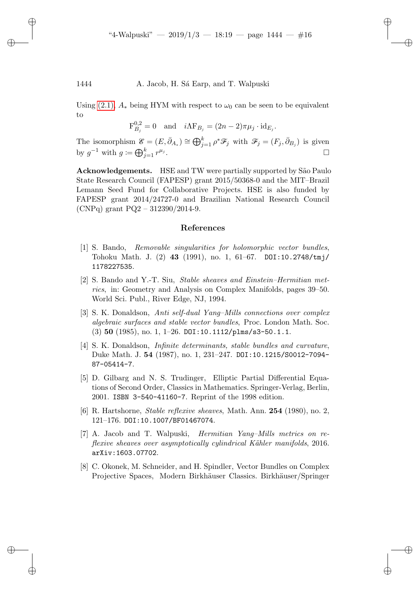Using [\(2.1\),](#page-5-0)  $A_*$  being HYM with respect to  $\omega_0$  can be seen to be equivalent to

$$
\mathcal{F}_{B_j}^{0,2} = 0 \quad \text{and} \quad i\Lambda \mathcal{F}_{B_j} = (2n-2)\pi\mu_j \cdot \mathrm{id}_{E_j}.
$$

The isomorphism  $\mathscr{E} = (E, \bar{\partial}_{A_*}) \cong \bigoplus_{j=1}^k \rho^* \mathscr{F}_j$  with  $\mathscr{F}_j = (F_j, \bar{\partial}_{B_j})$  is given by  $g^{-1}$  with  $g \coloneqq \bigoplus_{j=1}^k r^{\mu_j}$ . В последните последните последните последните последните последните последните последните последните последн<br>В последните последните последните последните последните последните последните последните последните последнит

Acknowledgements. HSE and TW were partially supported by São Paulo State Research Council (FAPESP) grant 2015/50368-0 and the MIT–Brazil Lemann Seed Fund for Collaborative Projects. HSE is also funded by FAPESP grant 2014/24727-0 and Brazilian National Research Council (CNPq) grant  $PQ2 - 312390/2014-9$ .

#### References

- <span id="page-15-2"></span>[1] S. Bando, Removable singularities for holomorphic vector bundles, Tohoku Math. J. (2) 43 (1991), no. 1, 61–67. DOI:10.2748/tmj/ 1178227535.
- <span id="page-15-3"></span>[2] S. Bando and Y.-T. Siu, Stable sheaves and Einstein–Hermitian metrics, in: Geometry and Analysis on Complex Manifolds, pages 39–50. World Sci. Publ., River Edge, NJ, 1994.
- <span id="page-15-0"></span>[3] S. K. Donaldson, Anti self-dual Yang–Mills connections over complex algebraic surfaces and stable vector bundles, Proc. London Math. Soc.  $(3)$  50  $(1985)$ , no. 1, 1-26. DOI:10.1112/plms/s3-50.1.1.
- <span id="page-15-1"></span>[4] S. K. Donaldson, Infinite determinants, stable bundles and curvature, Duke Math. J. 54 (1987), no. 1, 231–247. DOI:10.1215/S0012-7094- 87-05414-7.
- <span id="page-15-7"></span>[5] D. Gilbarg and N. S. Trudinger, Elliptic Partial Differential Equations of Second Order, Classics in Mathematics. Springer-Verlag, Berlin, 2001. ISBN 3-540-41160-7. Reprint of the 1998 edition.
- <span id="page-15-4"></span>[6] R. Hartshorne, Stable reflexive sheaves, Math. Ann. 254 (1980), no. 2, 121–176. DOI:10.1007/BF01467074.
- <span id="page-15-6"></span>[7] A. Jacob and T. Walpuski, Hermitian Yang–Mills metrics on reflexive sheaves over asymptotically cylindrical Kähler manifolds, 2016. arXiv:1603.07702.
- <span id="page-15-5"></span>[8] C. Okonek, M. Schneider, and H. Spindler, Vector Bundles on Complex Projective Spaces, Modern Birkhäuser Classics. Birkhäuser/Springer